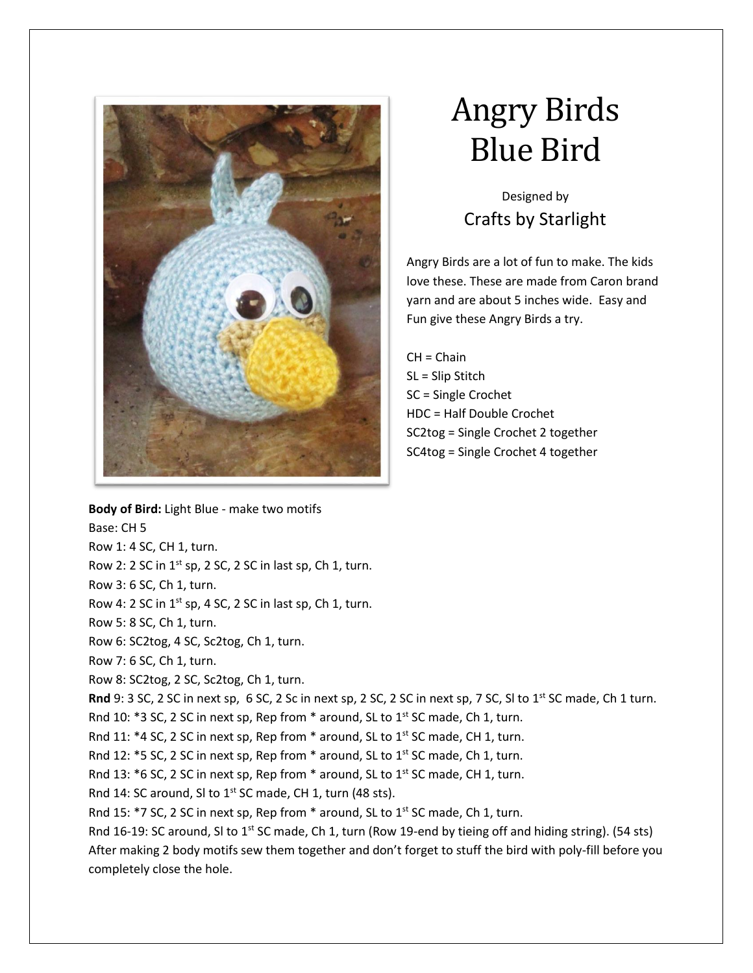

## Angry Birds Blue Bird

Designed by Crafts by Starlight

Angry Birds are a lot of fun to make. The kids love these. These are made from Caron brand yarn and are about 5 inches wide. Easy and Fun give these Angry Birds a try.

CH = Chain SL = Slip Stitch SC = Single Crochet HDC = Half Double Crochet SC2tog = Single Crochet 2 together SC4tog = Single Crochet 4 together

**Body of Bird:** Light Blue - make two motifs Base: CH 5 Row 1: 4 SC, CH 1, turn. Row 2: 2 SC in  $1^{st}$  sp, 2 SC, 2 SC in last sp, Ch 1, turn. Row 3: 6 SC, Ch 1, turn. Row 4: 2 SC in  $1^{st}$  sp, 4 SC, 2 SC in last sp, Ch 1, turn. Row 5: 8 SC, Ch 1, turn. Row 6: SC2tog, 4 SC, Sc2tog, Ch 1, turn. Row 7: 6 SC, Ch 1, turn. Row 8: SC2tog, 2 SC, Sc2tog, Ch 1, turn. **Rnd** 9: 3 SC, 2 SC in next sp, 6 SC, 2 Sc in next sp, 2 SC, 2 SC in next sp, 7 SC, SI to 1<sup>st</sup> SC made, Ch 1 turn. Rnd 10:  $*3$  SC, 2 SC in next sp, Rep from  $*$  around, SL to 1st SC made, Ch 1, turn. Rnd 11:  $*4$  SC, 2 SC in next sp, Rep from  $*$  around, SL to 1<sup>st</sup> SC made, CH 1, turn. Rnd 12:  $*$ 5 SC, 2 SC in next sp, Rep from  $*$  around, SL to 1<sup>st</sup> SC made, Ch 1, turn. Rnd 13:  $*6$  SC, 2 SC in next sp, Rep from  $*$  around, SL to 1<sup>st</sup> SC made, CH 1, turn. Rnd 14: SC around, SI to  $1^{st}$  SC made, CH 1, turn (48 sts). Rnd 15:  $*$ 7 SC, 2 SC in next sp, Rep from  $*$  around, SL to 1st SC made, Ch 1, turn. Rnd 16-19: SC around, SI to 1<sup>st</sup> SC made, Ch 1, turn (Row 19-end by tieing off and hiding string). (54 sts) After making 2 body motifs sew them together and don't forget to stuff the bird with poly-fill before you completely close the hole.